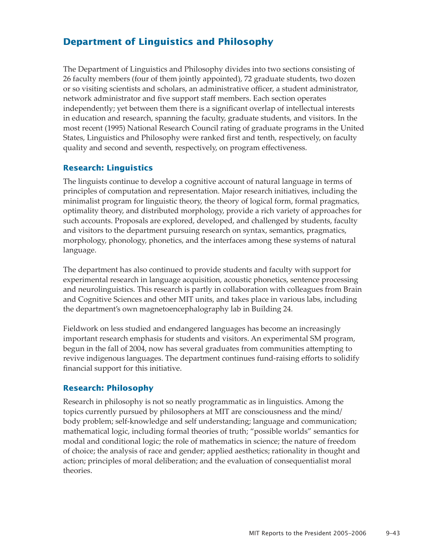# **Department of Linguistics and Philosophy**

The Department of Linguistics and Philosophy divides into two sections consisting of 26 faculty members (four of them jointly appointed), 72 graduate students, two dozen or so visiting scientists and scholars, an administrative officer, a student administrator, network administrator and five support staff members. Each section operates independently; yet between them there is a significant overlap of intellectual interests in education and research, spanning the faculty, graduate students, and visitors. In the most recent (1995) National Research Council rating of graduate programs in the United States, Linguistics and Philosophy were ranked first and tenth, respectively, on faculty quality and second and seventh, respectively, on program effectiveness.

## **Research: Linguistics**

The linguists continue to develop a cognitive account of natural language in terms of principles of computation and representation. Major research initiatives, including the minimalist program for linguistic theory, the theory of logical form, formal pragmatics, optimality theory, and distributed morphology, provide a rich variety of approaches for such accounts. Proposals are explored, developed, and challenged by students, faculty and visitors to the department pursuing research on syntax, semantics, pragmatics, morphology, phonology, phonetics, and the interfaces among these systems of natural language.

The department has also continued to provide students and faculty with support for experimental research in language acquisition, acoustic phonetics, sentence processing and neurolinguistics. This research is partly in collaboration with colleagues from Brain and Cognitive Sciences and other MIT units, and takes place in various labs, including the department's own magnetoencephalography lab in Building 24.

Fieldwork on less studied and endangered languages has become an increasingly important research emphasis for students and visitors. An experimental SM program, begun in the fall of 2004, now has several graduates from communities attempting to revive indigenous languages. The department continues fund-raising efforts to solidify financial support for this initiative.

### **Research: Philosophy**

Research in philosophy is not so neatly programmatic as in linguistics. Among the topics currently pursued by philosophers at MIT are consciousness and the mind/ body problem; self-knowledge and self understanding; language and communication; mathematical logic, including formal theories of truth; "possible worlds" semantics for modal and conditional logic; the role of mathematics in science; the nature of freedom of choice; the analysis of race and gender; applied aesthetics; rationality in thought and action; principles of moral deliberation; and the evaluation of consequentialist moral theories.